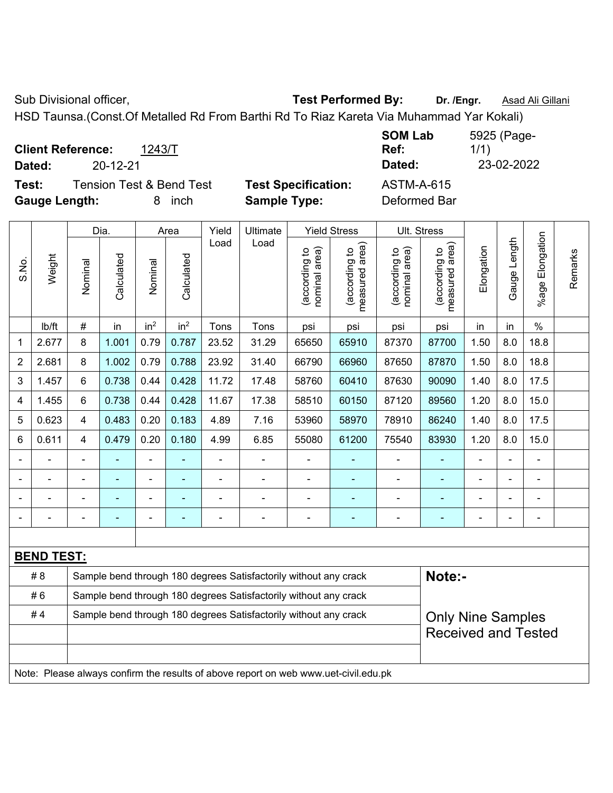Sub Divisional officer, **Test Performed By:** Dr. /Engr. **Asad Ali Gillani** Associated By: Dr. /Engr. **Asad Ali Gillani** 

HSD Taunsa.(Const.Of Metalled Rd From Barthi Rd To Riaz Kareta Via Muhammad Yar Kokali)

**Client Reference:** 1243/T

**Test:** Tension Test & Bend Test **Test Specification:** ASTM-A-615 **Gauge Length:** 8 inch **Sample Type:** Deformed Bar

**SOM Lab Ref:**  5925 (Page-1/1) **Dated:** 20-12-21 **Dated:** 23-02-2022

|       |                                                                                     |                          | Dia.           |                 | Area            | Yield          | Ultimate                                                         |                                | <b>Yield Stress</b>                | <b>Ult. Stress</b>             |                                 |                |                |                       |         |
|-------|-------------------------------------------------------------------------------------|--------------------------|----------------|-----------------|-----------------|----------------|------------------------------------------------------------------|--------------------------------|------------------------------------|--------------------------------|---------------------------------|----------------|----------------|-----------------------|---------|
| S.No. | Weight                                                                              | Nominal                  | Calculated     | Nominal         | Calculated      | Load           | Load                                                             | nominal area)<br>(according to | area)<br>(according to<br>measured | nominal area)<br>(according to | measured area)<br>(according to | Elongation     | Gauge Length   | Elongation<br>$%$ age | Remarks |
|       | Ib/ft                                                                               | $\#$                     | in             | in <sup>2</sup> | in <sup>2</sup> | Tons           | Tons                                                             | psi                            | psi                                | psi                            | psi                             | in             | in             | $\%$                  |         |
| 1     | 2.677                                                                               | 8                        | 1.001          | 0.79            | 0.787           | 23.52          | 31.29                                                            | 65650                          | 65910                              | 87370                          | 87700                           | 1.50           | 8.0            | 18.8                  |         |
| 2     | 2.681                                                                               | 8                        | 1.002          | 0.79            | 0.788           | 23.92          | 31.40                                                            | 66790                          | 66960                              | 87650                          | 87870                           | 1.50           | 8.0            | 18.8                  |         |
| 3     | 1.457                                                                               | 6                        | 0.738          | 0.44            | 0.428           | 11.72          | 17.48                                                            | 58760                          | 60410                              | 87630                          | 90090                           | 1.40           | 8.0            | 17.5                  |         |
| 4     | 1.455                                                                               | $6\phantom{1}$           | 0.738          | 0.44            | 0.428           | 11.67          | 17.38                                                            | 58510                          | 60150                              | 87120                          | 89560                           | 1.20           | 8.0            | 15.0                  |         |
| 5     | 0.623                                                                               | $\overline{4}$           | 0.483          | 0.20            | 0.183           | 4.89           | 7.16                                                             | 53960                          | 58970                              | 78910                          | 86240                           | 1.40           | 8.0            | 17.5                  |         |
| 6     | 0.611                                                                               | $\overline{4}$           | 0.479          | 0.20            | 0.180           | 4.99           | 6.85                                                             | 55080                          | 61200                              | 75540                          | 83930                           | 1.20           | 8.0            | 15.0                  |         |
|       |                                                                                     |                          |                | ä,              |                 | $\blacksquare$ | ÷.                                                               |                                |                                    | $\blacksquare$                 |                                 | $\blacksquare$ |                |                       |         |
|       |                                                                                     | $\blacksquare$           | $\blacksquare$ | $\blacksquare$  | $\blacksquare$  | $\blacksquare$ | ÷.                                                               | $\blacksquare$                 | $\overline{\phantom{a}}$           | $\qquad \qquad \blacksquare$   | ÷                               | ä,             | $\blacksquare$ | $\blacksquare$        |         |
|       |                                                                                     | $\blacksquare$           | $\blacksquare$ | ÷               |                 |                | ÷.                                                               |                                |                                    | ÷                              | ٠                               | ä,             | $\blacksquare$ | $\blacksquare$        |         |
|       |                                                                                     | $\overline{\phantom{0}}$ | ÷              | ÷               | ٠               | $\blacksquare$ | ÷,                                                               | $\blacksquare$                 | $\overline{\phantom{a}}$           | Ĭ.                             | $\blacksquare$                  | $\blacksquare$ | $\blacksquare$ | $\blacksquare$        |         |
|       |                                                                                     |                          |                |                 |                 |                |                                                                  |                                |                                    |                                |                                 |                |                |                       |         |
|       | <b>BEND TEST:</b>                                                                   |                          |                |                 |                 |                |                                                                  |                                |                                    |                                |                                 |                |                |                       |         |
|       | #8                                                                                  |                          |                |                 |                 |                | Sample bend through 180 degrees Satisfactorily without any crack |                                |                                    |                                | Note:-                          |                |                |                       |         |
|       | #6                                                                                  |                          |                |                 |                 |                | Sample bend through 180 degrees Satisfactorily without any crack |                                |                                    |                                |                                 |                |                |                       |         |
|       | #4                                                                                  |                          |                |                 |                 |                | Sample bend through 180 degrees Satisfactorily without any crack |                                |                                    |                                | <b>Only Nine Samples</b>        |                |                |                       |         |
|       |                                                                                     |                          |                |                 |                 |                |                                                                  |                                |                                    |                                | <b>Received and Tested</b>      |                |                |                       |         |
|       |                                                                                     |                          |                |                 |                 |                |                                                                  |                                |                                    |                                |                                 |                |                |                       |         |
|       | Note: Please always confirm the results of above report on web www.uet-civil.edu.pk |                          |                |                 |                 |                |                                                                  |                                |                                    |                                |                                 |                |                |                       |         |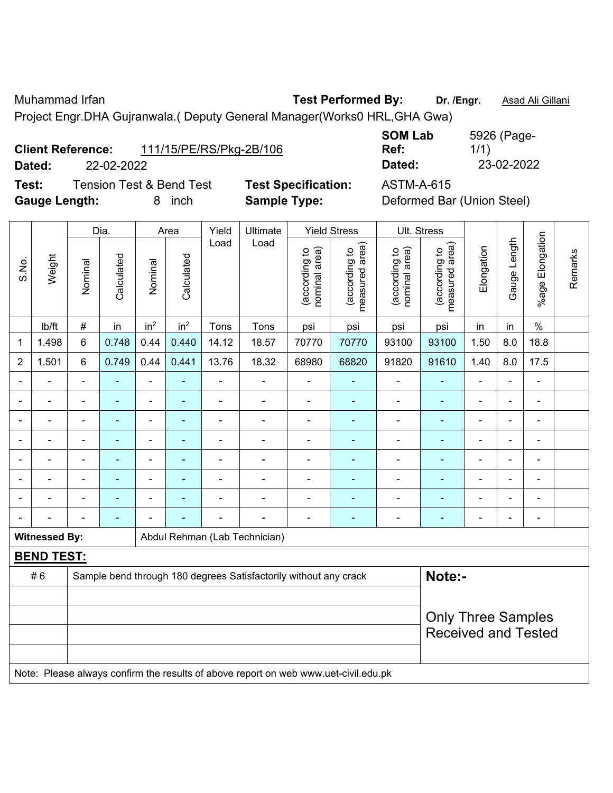Muhammad Irfan **Test Performed By: Dr. /Engr.** Asad Ali Gillani

Project Engr.DHA Gujranwala.( Deputy General Manager(Works0 HRL,GHA Gwa)

| <b>Client Reference:</b> |            | 111/15/PE/RS/Pkg-2B/106 | _ _ _ _ _ _ _ _ _ _ _<br>Ref: | 1/1,       |
|--------------------------|------------|-------------------------|-------------------------------|------------|
| Dated:                   | 22-02-2022 |                         | Dated:                        | 23-02-2022 |

**Test:** Tension Test & Bend Test **Test Specification:** ASTM-A-615 **Gauge Length:** 8 inch **Sample Type:** Deformed Bar (Union Steel)

**SOM Lab Ref:**  5926 (Page-1/1)

|                              |                      |                          | Dia.                     |                          | Area                     | Yield          | Ultimate                                                         |                                | <b>Yield Stress</b>             |                                | Ult. Stress                     |                          |                |                          |         |
|------------------------------|----------------------|--------------------------|--------------------------|--------------------------|--------------------------|----------------|------------------------------------------------------------------|--------------------------------|---------------------------------|--------------------------------|---------------------------------|--------------------------|----------------|--------------------------|---------|
| S.No.                        | Weight               | Nominal                  | Calculated               | Nominal                  | Calculated               | Load           | Load                                                             | nominal area)<br>(according to | measured area)<br>(according to | nominal area)<br>(according to | measured area)<br>(according to | Elongation               | Gauge Length   | %age Elongation          | Remarks |
|                              | lb/ft                | $\#$                     | in                       | in <sup>2</sup>          | in <sup>2</sup>          | Tons           | Tons                                                             | psi                            | psi                             | psi                            | psi                             | in                       | in             | $\%$                     |         |
| 1                            | 1.498                | 6                        | 0.748                    | 0.44                     | 0.440                    | 14.12          | 18.57                                                            | 70770                          | 70770                           | 93100                          | 93100                           | 1.50                     | 8.0            | 18.8                     |         |
| $\overline{2}$               | 1.501                | 6                        | 0.749                    | 0.44                     | 0.441                    | 13.76          | 18.32                                                            | 68980                          | 68820                           | 91820                          | 91610                           | 1.40                     | 8.0            | 17.5                     |         |
| $\overline{\phantom{0}}$     |                      | $\blacksquare$           | $\blacksquare$           | $\overline{\phantom{a}}$ | $\overline{\phantom{a}}$ | $\blacksquare$ | $\blacksquare$                                                   | $\blacksquare$                 | $\blacksquare$                  | $\overline{\phantom{a}}$       | $\blacksquare$                  | $\blacksquare$           | $\blacksquare$ | $\blacksquare$           |         |
|                              |                      | $\blacksquare$           | $\sim$                   | $\blacksquare$           | $\blacksquare$           | ÷              | $\blacksquare$                                                   | $\blacksquare$                 | ٠                               | $\blacksquare$                 | $\overline{\phantom{0}}$        | $\blacksquare$           |                | $\overline{\phantom{a}}$ |         |
| ۰                            |                      | $\blacksquare$           | $\blacksquare$           | $\blacksquare$           |                          | $\blacksquare$ | $\blacksquare$                                                   | $\blacksquare$                 | ٠                               | $\blacksquare$                 | $\blacksquare$                  | $\overline{\phantom{a}}$ | $\blacksquare$ | $\overline{\phantom{a}}$ |         |
| $\qquad \qquad \blacksquare$ |                      | $\overline{\phantom{a}}$ | $\blacksquare$           | $\blacksquare$           | $\overline{\phantom{a}}$ | ÷              | $\overline{\phantom{a}}$                                         | $\blacksquare$                 | $\overline{\phantom{0}}$        | $\overline{a}$                 | Ē.                              | $\overline{\phantom{a}}$ | $\blacksquare$ | $\overline{\phantom{a}}$ |         |
|                              |                      | ä,                       | $\blacksquare$           | $\blacksquare$           |                          | ÷              | $\blacksquare$                                                   | $\blacksquare$                 | ٠                               | ÷                              | ۰                               | $\blacksquare$           | $\blacksquare$ | $\blacksquare$           |         |
|                              |                      | $\blacksquare$           | $\overline{\phantom{0}}$ | $\blacksquare$           |                          | L.             | $\blacksquare$                                                   | $\blacksquare$                 | ٠                               | $\blacksquare$                 | $\blacksquare$                  | $\blacksquare$           |                |                          |         |
|                              |                      | -                        | $\blacksquare$           | $\blacksquare$           |                          | $\blacksquare$ | $\blacksquare$                                                   | $\blacksquare$                 |                                 | $\overline{a}$                 |                                 |                          | $\blacksquare$ | $\blacksquare$           |         |
|                              |                      | $\blacksquare$           | $\overline{\phantom{a}}$ |                          |                          |                | $\blacksquare$                                                   | $\blacksquare$                 | $\blacksquare$                  | ٠                              | $\blacksquare$                  | $\blacksquare$           | $\blacksquare$ | $\overline{\phantom{a}}$ |         |
|                              | <b>Witnessed By:</b> |                          |                          |                          |                          |                | Abdul Rehman (Lab Technician)                                    |                                |                                 |                                |                                 |                          |                |                          |         |
|                              | <b>BEND TEST:</b>    |                          |                          |                          |                          |                |                                                                  |                                |                                 |                                |                                 |                          |                |                          |         |
|                              | #6                   |                          |                          |                          |                          |                | Sample bend through 180 degrees Satisfactorily without any crack |                                |                                 |                                | Note:-                          |                          |                |                          |         |
|                              |                      |                          |                          |                          |                          |                |                                                                  |                                |                                 |                                |                                 |                          |                |                          |         |
|                              |                      |                          |                          |                          |                          |                |                                                                  |                                |                                 |                                | <b>Only Three Samples</b>       |                          |                |                          |         |
|                              |                      |                          |                          |                          |                          |                |                                                                  |                                |                                 |                                | <b>Received and Tested</b>      |                          |                |                          |         |
|                              |                      |                          |                          |                          |                          |                |                                                                  |                                |                                 |                                |                                 |                          |                |                          |         |

Note: Please always confirm the results of above report on web www.uet-civil.edu.pk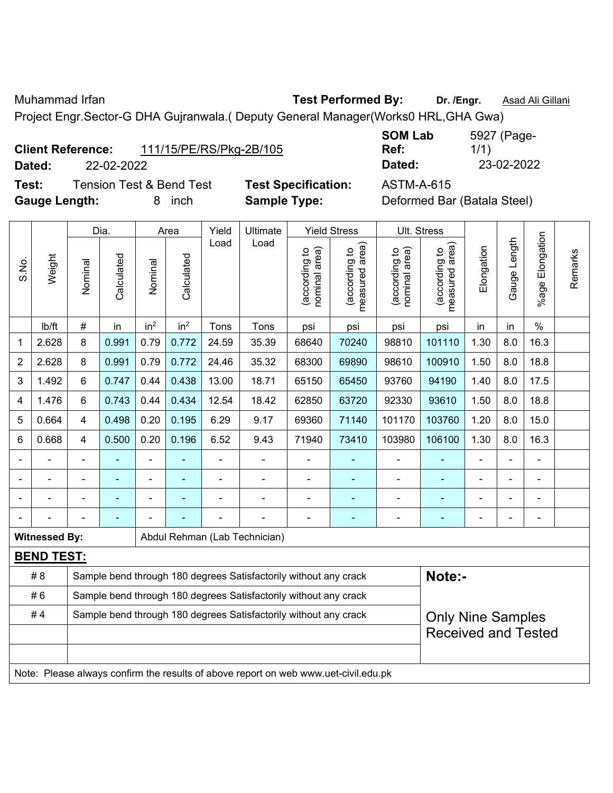Muhammad Irfan **Test Performed By:** Dr. /Engr. **Asad Ali Gillani** Assembly Dr. /Engr. **Asad Ali Gillani** 

Project Engr.Sector-G DHA Gujranwala.( Deputy General Manager(Works0 HRL,GHA Gwa)

| <b>Client Reference:</b> |            | 111/15/PE/RS/Pkg-2B/105 | Ref:   | 1/1        |
|--------------------------|------------|-------------------------|--------|------------|
| Dated:                   | 22-02-2022 |                         | Dated: | 23-02-2022 |

**Test:** Tension Test & Bend Test **Test Specification:** ASTM-A-615 **Gauge Length:** 8 inch **Sample Type:** Deformed Bar (Batala Steel)

**SOM Lab Ref:**  5927 (Page-1/1)

|                |                                                                                     | Yield<br><b>Yield Stress</b><br>Dia.<br>Ultimate<br>Area |                |                          |                 |       |                                                                  |                                |                                 | Ult. Stress                    |                                             |                |                |                       |         |
|----------------|-------------------------------------------------------------------------------------|----------------------------------------------------------|----------------|--------------------------|-----------------|-------|------------------------------------------------------------------|--------------------------------|---------------------------------|--------------------------------|---------------------------------------------|----------------|----------------|-----------------------|---------|
| S.No.          | Weight                                                                              | Nominal                                                  | Calculated     | Nominal                  | Calculated      | Load  | Load                                                             | nominal area)<br>(according to | (according to<br>measured area) | nominal area)<br>(according to | (according to<br>measured area)<br>measured | Elongation     | Gauge Length   | Elongation<br>$%$ age | Remarks |
|                | Ib/ft                                                                               | $\#$                                                     | in             | in <sup>2</sup>          | in <sup>2</sup> | Tons  | Tons                                                             | psi                            | psi                             | psi                            | psi                                         | in             | in             | $\%$                  |         |
| 1              | 2.628                                                                               | 8                                                        | 0.991          | 0.79                     | 0.772           | 24.59 | 35.39                                                            | 68640                          | 70240                           | 98810                          | 101110                                      | 1.30           | 8.0            | 16.3                  |         |
| $\overline{2}$ | 2.628                                                                               | 8                                                        | 0.991          | 0.79                     | 0.772           | 24.46 | 35.32                                                            | 68300                          | 69890                           | 98610                          | 100910                                      | 1.50           | 8.0            | 18.8                  |         |
| 3              | 1.492                                                                               | 6                                                        | 0.747          | 0.44                     | 0.438           | 13.00 | 18.71                                                            | 65150                          | 65450                           | 93760                          | 94190                                       | 1.40           | 8.0            | 17.5                  |         |
| 4              | 1.476                                                                               | 6                                                        | 0.743          | 0.44                     | 0.434           | 12.54 | 18.42                                                            | 62850                          | 63720                           | 92330                          | 93610                                       | 1.50           | 8.0            | 18.8                  |         |
| 5              | 0.664                                                                               | 4                                                        | 0.498          | 0.20                     | 0.195           | 6.29  | 9.17                                                             | 69360                          | 71140                           | 101170                         | 103760                                      | 1.20           | 8.0            | 15.0                  |         |
| 6              | 0.668                                                                               | 4                                                        | 0.500          | 0.20                     | 0.196           | 6.52  | 9.43                                                             | 71940                          | 73410                           | 103980                         | 106100                                      | 1.30           | 8.0            | 16.3                  |         |
|                | ÷,                                                                                  | $\blacksquare$                                           | ä,             | $\overline{\phantom{a}}$ |                 | ä,    | $\blacksquare$                                                   | $\blacksquare$                 | $\blacksquare$                  | $\blacksquare$                 | ä,                                          | $\blacksquare$ | ä,             | ÷,                    |         |
|                |                                                                                     |                                                          | $\blacksquare$ | ÷                        |                 |       |                                                                  | $\blacksquare$                 | $\blacksquare$                  | $\blacksquare$                 |                                             |                |                | $\blacksquare$        |         |
|                |                                                                                     |                                                          |                |                          |                 |       |                                                                  |                                |                                 |                                |                                             |                |                | ä,                    |         |
|                |                                                                                     |                                                          |                |                          |                 |       |                                                                  | $\blacksquare$                 | ÷                               | $\blacksquare$                 | ٠                                           |                | $\blacksquare$ | ۰                     |         |
|                | <b>Witnessed By:</b>                                                                |                                                          |                |                          |                 |       | Abdul Rehman (Lab Technician)                                    |                                |                                 |                                |                                             |                |                |                       |         |
|                | <b>BEND TEST:</b>                                                                   |                                                          |                |                          |                 |       |                                                                  |                                |                                 |                                |                                             |                |                |                       |         |
|                | #8                                                                                  |                                                          |                |                          |                 |       | Sample bend through 180 degrees Satisfactorily without any crack |                                |                                 |                                | Note:-                                      |                |                |                       |         |
|                | #6                                                                                  |                                                          |                |                          |                 |       | Sample bend through 180 degrees Satisfactorily without any crack |                                |                                 |                                |                                             |                |                |                       |         |
|                | #4                                                                                  |                                                          |                |                          |                 |       | Sample bend through 180 degrees Satisfactorily without any crack |                                |                                 |                                | <b>Only Nine Samples</b>                    |                |                |                       |         |
|                |                                                                                     |                                                          |                |                          |                 |       |                                                                  |                                |                                 |                                | <b>Received and Tested</b>                  |                |                |                       |         |
|                |                                                                                     |                                                          |                |                          |                 |       |                                                                  |                                |                                 |                                |                                             |                |                |                       |         |
|                | Note: Please always confirm the results of above report on web www.uet-civil.edu.pk |                                                          |                |                          |                 |       |                                                                  |                                |                                 |                                |                                             |                |                |                       |         |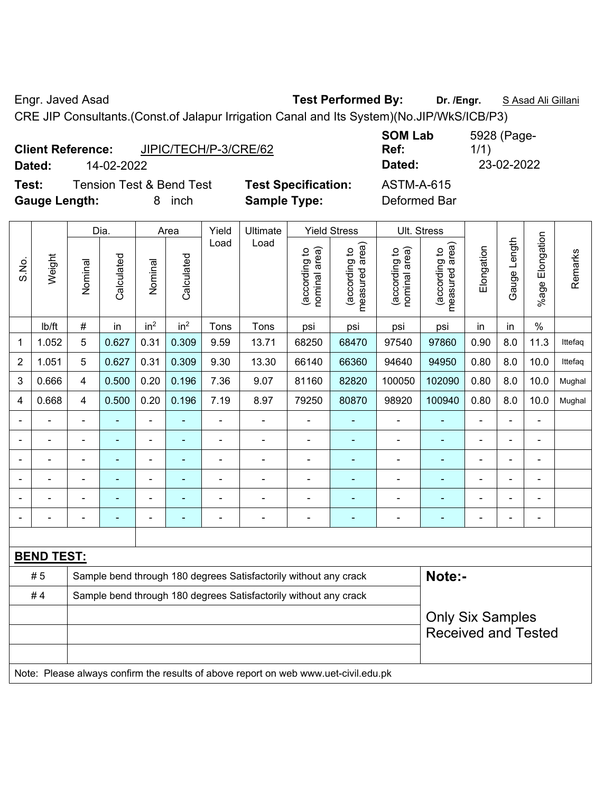Engr. Javed Asad **Test Performed By: Dr. /Engr.** S Asad Ali Gillani

CRE JIP Consultants.(Const.of Jalapur Irrigation Canal and Its System)(No.JIP/WkS/ICB/P3)

|                      | <b>Client Reference:</b> | JIPIC/TECH/P-3/CRE/62               |                            | <b>SUM LAD</b><br>Ref: |
|----------------------|--------------------------|-------------------------------------|----------------------------|------------------------|
| Dated:               | 14-02-2022               |                                     |                            | Dated:                 |
| Test:                |                          | <b>Tension Test &amp; Bend Test</b> | <b>Test Specification:</b> | <b>ASTM-A-615</b>      |
| <b>Gauge Length:</b> |                          | inch                                | <b>Sample Type:</b>        | Deformed Bar           |

**SOM Lab Ref:**  5928 (Page-1/1) **Dated:** 14-02-2022 **Dated:** 23-02-2022 **Test: ASTM-A-615** 

|                |                   |                                                                            | Dia.           |                              | Area            | Yield          | Ultimate                                                                            |                                | <b>Yield Stress</b>             |                                | Ult. Stress                                           |                |                |                       |         |
|----------------|-------------------|----------------------------------------------------------------------------|----------------|------------------------------|-----------------|----------------|-------------------------------------------------------------------------------------|--------------------------------|---------------------------------|--------------------------------|-------------------------------------------------------|----------------|----------------|-----------------------|---------|
| S.No.          | Weight            | Nominal                                                                    | Calculated     | Nominal                      | Calculated      | Load           | Load                                                                                | nominal area)<br>(according to | (according to<br>measured area) | nominal area)<br>(according to | measured area)<br>(according to                       | Elongation     | Gauge Length   | Elongation<br>$%$ age | Remarks |
|                | lb/ft             | #                                                                          | in             | in <sup>2</sup>              | in <sup>2</sup> | Tons           | Tons                                                                                | psi                            | psi                             | psi                            | psi                                                   | in             | in             | $\%$                  |         |
| 1              | 1.052             | 5                                                                          | 0.627          | 0.31                         | 0.309           | 9.59           | 13.71                                                                               | 68250                          | 68470                           | 97540                          | 97860                                                 | 0.90           | 8.0            | 11.3                  | Ittefaq |
| $\overline{2}$ | 1.051             | 5                                                                          | 0.627          | 0.31                         | 0.309           | 9.30           | 13.30                                                                               | 66140                          | 66360                           | 94640                          | 94950                                                 | 0.80           | 8.0            | 10.0                  | Ittefaq |
| 3              | 0.666             | 4                                                                          | 0.500          | 0.20                         | 0.196           | 7.36           | 9.07                                                                                | 81160                          | 82820                           | 100050                         | 102090                                                | 0.80           | 8.0            | 10.0                  | Mughal  |
| 4              | 0.668             | 4                                                                          | 0.500          | 0.20                         | 0.196           | 7.19           | 8.97                                                                                | 79250                          | 80870                           | 98920                          | 100940                                                | 0.80           | 8.0            | 10.0                  | Mughal  |
|                |                   |                                                                            |                |                              |                 |                |                                                                                     |                                |                                 |                                |                                                       |                |                |                       |         |
|                |                   |                                                                            | ÷,             | $\blacksquare$               |                 |                | ÷,                                                                                  | $\blacksquare$                 | ÷                               |                                | L,                                                    |                |                |                       |         |
| $\blacksquare$ | $\blacksquare$    | $\blacksquare$                                                             | ÷              | $\blacksquare$               | ۰               | $\blacksquare$ | ÷.                                                                                  | $\blacksquare$                 | ٠                               | $\blacksquare$                 | ä,                                                    | $\blacksquare$ | $\blacksquare$ | $\blacksquare$        |         |
|                |                   | $\blacksquare$                                                             | ۰              | $\qquad \qquad \blacksquare$ |                 | $\blacksquare$ | ÷.                                                                                  | $\overline{a}$                 | ٠                               | $\overline{a}$                 | ۰                                                     |                |                | $\blacksquare$        |         |
|                |                   | $\blacksquare$                                                             | $\blacksquare$ | $\qquad \qquad \blacksquare$ | ÷               | ä,             | ÷,                                                                                  | $\blacksquare$                 | $\blacksquare$                  |                                | ۰                                                     | $\blacksquare$ |                | $\blacksquare$        |         |
|                |                   |                                                                            | $\blacksquare$ | ÷                            | ÷               | ÷              | ÷                                                                                   | ä,                             | L,                              | $\blacksquare$                 | $\overline{\phantom{a}}$                              |                |                | $\blacksquare$        |         |
|                |                   |                                                                            |                |                              |                 |                |                                                                                     |                                |                                 |                                |                                                       |                |                |                       |         |
|                | <b>BEND TEST:</b> |                                                                            |                |                              |                 |                |                                                                                     |                                |                                 |                                |                                                       |                |                |                       |         |
|                | #5                | Note:-<br>Sample bend through 180 degrees Satisfactorily without any crack |                |                              |                 |                |                                                                                     |                                |                                 |                                |                                                       |                |                |                       |         |
|                | #4                |                                                                            |                |                              |                 |                | Sample bend through 180 degrees Satisfactorily without any crack                    |                                |                                 |                                |                                                       |                |                |                       |         |
|                |                   |                                                                            |                |                              |                 |                |                                                                                     |                                |                                 |                                | <b>Only Six Samples</b><br><b>Received and Tested</b> |                |                |                       |         |
|                |                   |                                                                            |                |                              |                 |                | Note: Please always confirm the results of above report on web www.uet-civil.edu.pk |                                |                                 |                                |                                                       |                |                |                       |         |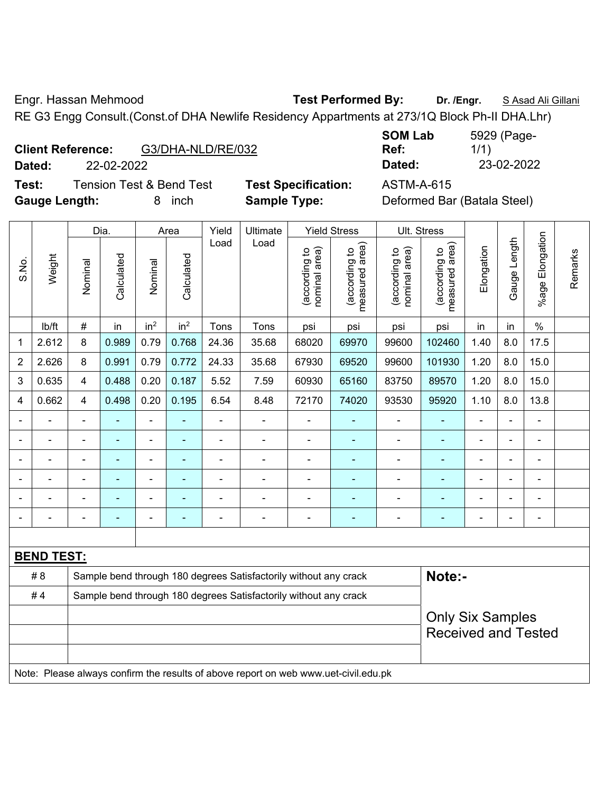Engr. Hassan Mehmood **Test Performed By: Dr. /Engr.** S Asad Ali Gillani

RE G3 Engg Consult.(Const.of DHA Newlife Residency Appartments at 273/1Q Block Ph-II DHA.Lhr)

| <b>Client Reference:</b> | G3/DHA-NLD/RE/032 |
|--------------------------|-------------------|
|--------------------------|-------------------|

**Test:** Tension Test & Bend Test **Test Specification:** ASTM-A-615 **Gauge Length:** 8 inch **Sample Type:** Deformed Bar (Batala Steel)

**SOM Lab Ref:**  5929 (Page-1/1) **Dated:** 22-02-2022 **Dated:** 23-02-2022

|                |                                                                                     |                | Dia.           |                 | Area            | Yield                    | Ultimate                                                         |                                | <b>Yield Stress</b>             |                                | Ult. Stress                     |            |                          |                 |         |
|----------------|-------------------------------------------------------------------------------------|----------------|----------------|-----------------|-----------------|--------------------------|------------------------------------------------------------------|--------------------------------|---------------------------------|--------------------------------|---------------------------------|------------|--------------------------|-----------------|---------|
| S.No.          | Weight                                                                              | Nominal        | Calculated     | Nominal         | Calculated      | Load                     | Load                                                             | nominal area)<br>(according to | (according to<br>measured area) | (according to<br>nominal area) | (according to<br>measured area) | Elongation | Gauge Length             | %age Elongation | Remarks |
|                | lb/ft                                                                               | #              | in             | in <sup>2</sup> | in <sup>2</sup> | Tons                     | Tons                                                             | psi                            | psi                             | psi                            | psi                             | in         | in                       | $\%$            |         |
| 1              | 2.612                                                                               | 8              | 0.989          | 0.79            | 0.768           | 24.36                    | 35.68                                                            | 68020                          | 69970                           | 99600                          | 102460                          | 1.40       | 8.0                      | 17.5            |         |
| $\overline{2}$ | 2.626                                                                               | 8              | 0.991          | 0.79            | 0.772           | 24.33                    | 35.68                                                            | 67930                          | 69520                           | 99600                          | 101930                          | 1.20       | 8.0                      | 15.0            |         |
| 3              | 0.635                                                                               | $\overline{4}$ | 0.488          | 0.20            | 0.187           | 5.52                     | 7.59                                                             | 60930                          | 65160                           | 83750                          | 89570                           | 1.20       | 8.0                      | 15.0            |         |
| 4              | 0.662                                                                               | $\overline{4}$ | 0.498          | 0.20            | 0.195           | 6.54                     | 8.48                                                             | 72170                          | 74020                           | 93530                          | 95920                           | 1.10       | 8.0                      | 13.8            |         |
|                |                                                                                     | $\blacksquare$ |                | ä,              | ÷               | $\overline{\phantom{a}}$ | $\blacksquare$                                                   | $\overline{\phantom{a}}$       | $\overline{\phantom{0}}$        | $\blacksquare$                 | ÷,                              |            |                          | $\blacksquare$  |         |
|                |                                                                                     | $\blacksquare$ |                | ÷,              | Ξ               | ä,                       | ä,                                                               | $\overline{\phantom{a}}$       | $\blacksquare$                  | ÷                              | $\blacksquare$                  |            | $\overline{\phantom{a}}$ | ä,              |         |
|                |                                                                                     | $\blacksquare$ | $\blacksquare$ | ÷               | ۰               | -                        | $\blacksquare$                                                   | $\blacksquare$                 | $\blacksquare$                  | $\blacksquare$                 | $\blacksquare$                  |            |                          | ÷               |         |
|                |                                                                                     | $\blacksquare$ | ä,             | ä,              | ÷               | ÷,                       | ÷,                                                               | ÷,                             | $\blacksquare$                  | ÷                              | ä,                              |            |                          | ä,              |         |
|                |                                                                                     |                |                | $\blacksquare$  | ä,              | ä,                       |                                                                  | Ē,                             | $\blacksquare$                  | ÷                              |                                 |            |                          | $\blacksquare$  |         |
|                |                                                                                     |                |                |                 |                 |                          |                                                                  |                                | ٠                               | $\overline{\phantom{0}}$       |                                 |            |                          |                 |         |
|                |                                                                                     |                |                |                 |                 |                          |                                                                  |                                |                                 |                                |                                 |            |                          |                 |         |
|                | <b>BEND TEST:</b>                                                                   |                |                |                 |                 |                          |                                                                  |                                |                                 |                                |                                 |            |                          |                 |         |
|                | # 8                                                                                 |                |                |                 |                 |                          | Sample bend through 180 degrees Satisfactorily without any crack |                                |                                 |                                | Note:-                          |            |                          |                 |         |
|                | #4                                                                                  |                |                |                 |                 |                          | Sample bend through 180 degrees Satisfactorily without any crack |                                |                                 |                                |                                 |            |                          |                 |         |
|                |                                                                                     |                |                |                 |                 |                          |                                                                  |                                |                                 |                                | <b>Only Six Samples</b>         |            |                          |                 |         |
|                |                                                                                     |                |                |                 |                 |                          |                                                                  |                                |                                 |                                | <b>Received and Tested</b>      |            |                          |                 |         |
|                |                                                                                     |                |                |                 |                 |                          |                                                                  |                                |                                 |                                |                                 |            |                          |                 |         |
|                | Note: Please always confirm the results of above report on web www.uet-civil.edu.pk |                |                |                 |                 |                          |                                                                  |                                |                                 |                                |                                 |            |                          |                 |         |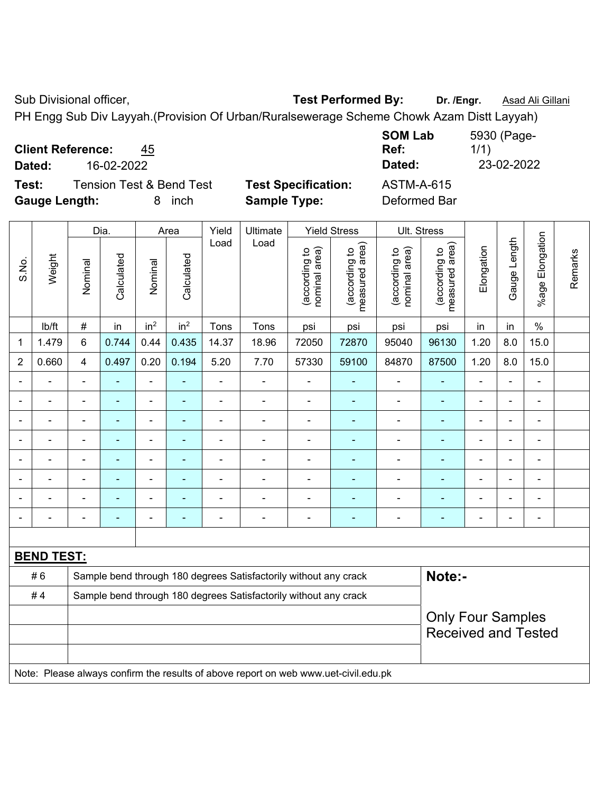Sub Divisional officer, **Test Performed By:** Dr. /Engr. **Asad Ali Gillani** Associated By: Dr. /Engr. **Asad Ali Gillani** 

PH Engg Sub Div Layyah.(Provision Of Urban/Ruralsewerage Scheme Chowk Azam Distt Layyah)

|  | <b>Client Reference:</b> | 45 |
|--|--------------------------|----|
|--|--------------------------|----|

**Test:** Tension Test & Bend Test **Test Specification:** ASTM-A-615

**Gauge Length:** 8 inch **Sample Type:** Deformed Bar

**SOM Lab Ref:**  5930 (Page-1/1) **Dated:** 16-02-2022 **Dated:** 23-02-2022

|                |                   |                | Dia.           |                          | Area                     | Yield          | <b>Ultimate</b>                                                                     |                                | <b>Yield Stress</b>                |                                | <b>Ult. Stress</b>              |                |                |                         |         |
|----------------|-------------------|----------------|----------------|--------------------------|--------------------------|----------------|-------------------------------------------------------------------------------------|--------------------------------|------------------------------------|--------------------------------|---------------------------------|----------------|----------------|-------------------------|---------|
| S.No.          | Weight            | Nominal        | Calculated     | Nominal                  | Calculated               | Load           | Load                                                                                | nominal area)<br>(according to | area)<br>(according to<br>measured | nominal area)<br>(according to | measured area)<br>(according to | Elongation     | Gauge Length   | Elongation<br>$%$ age I | Remarks |
|                | Ib/ft             | #              | in             | in <sup>2</sup>          | in <sup>2</sup>          | Tons           | Tons                                                                                | psi                            | psi                                | psi                            | psi                             | in             | in             | $\%$                    |         |
| 1              | 1.479             | 6              | 0.744          | 0.44                     | 0.435                    | 14.37          | 18.96                                                                               | 72050                          | 72870                              | 95040                          | 96130                           | 1.20           | 8.0            | 15.0                    |         |
| $\overline{2}$ | 0.660             | $\overline{4}$ | 0.497          | 0.20                     | 0.194                    | 5.20           | 7.70                                                                                | 57330                          | 59100                              | 84870                          | 87500                           | 1.20           | 8.0            | 15.0                    |         |
|                |                   | $\blacksquare$ | $\blacksquare$ | $\blacksquare$           | $\blacksquare$           | $\blacksquare$ | $\frac{1}{2}$                                                                       | $\blacksquare$                 | $\overline{a}$                     | $\overline{\phantom{a}}$       | $\blacksquare$                  | ÷,             | $\blacksquare$ | $\blacksquare$          |         |
|                | $\blacksquare$    | $\blacksquare$ | $\blacksquare$ | $\blacksquare$           | $\overline{\phantom{a}}$ | L,             | $\frac{1}{2}$                                                                       | $\blacksquare$                 | $\overline{\phantom{a}}$           | $\blacksquare$                 | $\blacksquare$                  | ä,             |                | $\blacksquare$          |         |
|                | $\blacksquare$    | $\blacksquare$ | $\blacksquare$ | $\blacksquare$           | $\overline{\phantom{a}}$ | ä,             | $\overline{\phantom{a}}$                                                            | $\blacksquare$                 | $\overline{a}$                     | $\overline{\phantom{a}}$       | $\blacksquare$                  | $\blacksquare$ |                | $\blacksquare$          |         |
|                |                   |                | $\blacksquare$ | ä,                       |                          | L,             | ä,                                                                                  |                                |                                    | ä,                             | ÷                               | ä,             |                | $\blacksquare$          |         |
|                |                   |                | $\blacksquare$ | ۰                        |                          |                |                                                                                     |                                |                                    |                                | $\blacksquare$                  | ۰              |                |                         |         |
|                |                   |                |                | $\blacksquare$           |                          |                | $\blacksquare$                                                                      |                                |                                    |                                |                                 | $\blacksquare$ |                | $\blacksquare$          |         |
|                |                   |                | $\blacksquare$ | $\overline{\phantom{0}}$ |                          | $\overline{a}$ | $\blacksquare$                                                                      | $\blacksquare$                 |                                    | $\blacksquare$                 | ٠                               | ۰              |                | $\blacksquare$          |         |
|                |                   | $\blacksquare$ | $\blacksquare$ | $\blacksquare$           | ÷                        | Ē,             | $\overline{\phantom{a}}$                                                            | $\blacksquare$                 | $\overline{a}$                     | ÷                              | $\blacksquare$                  | $\blacksquare$ |                | $\blacksquare$          |         |
|                |                   |                |                |                          |                          |                |                                                                                     |                                |                                    |                                |                                 |                |                |                         |         |
|                | <b>BEND TEST:</b> |                |                |                          |                          |                |                                                                                     |                                |                                    |                                |                                 |                |                |                         |         |
|                | #6                |                |                |                          |                          |                | Sample bend through 180 degrees Satisfactorily without any crack                    |                                |                                    |                                | Note:-                          |                |                |                         |         |
|                | #4                |                |                |                          |                          |                | Sample bend through 180 degrees Satisfactorily without any crack                    |                                |                                    |                                |                                 |                |                |                         |         |
|                |                   |                |                |                          |                          |                |                                                                                     |                                |                                    |                                | <b>Only Four Samples</b>        |                |                |                         |         |
|                |                   |                |                |                          |                          |                |                                                                                     |                                |                                    |                                | <b>Received and Tested</b>      |                |                |                         |         |
|                |                   |                |                |                          |                          |                |                                                                                     |                                |                                    |                                |                                 |                |                |                         |         |
|                |                   |                |                |                          |                          |                | Note: Please always confirm the results of above report on web www.uet-civil.edu.pk |                                |                                    |                                |                                 |                |                |                         |         |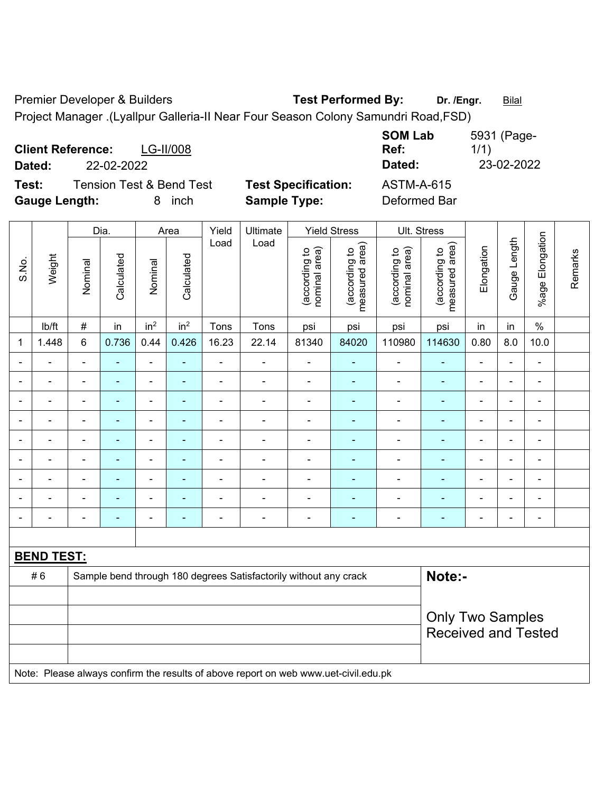Premier Developer & Builders **Test Performed By:** Dr. /Engr. **Bilal** 

Project Manager .(Lyallpur Galleria-II Near Four Season Colony Samundri Road,FSD)

| <b>Client Reference:</b><br>LG-II/008<br>Dated:<br>22-02-2022                     |                                                   | <b>SOM Lab</b><br>Ref:<br>Dated:  | 5931 (Page-<br>1/1)<br>23-02-2022 |
|-----------------------------------------------------------------------------------|---------------------------------------------------|-----------------------------------|-----------------------------------|
| Test:<br><b>Tension Test &amp; Bend Test</b><br><b>Gauge Length:</b><br>inch<br>8 | <b>Test Specification:</b><br><b>Sample Type:</b> | <b>ASTM-A-615</b><br>Deformed Bar |                                   |

|                |                   |                                                | Dia.                     |                          | Area                           | Yield                           | Ultimate                                                                            |                                 | <b>Yield Stress</b>      |                          | Ult. Stress                |                              |                |                          |  |  |
|----------------|-------------------|------------------------------------------------|--------------------------|--------------------------|--------------------------------|---------------------------------|-------------------------------------------------------------------------------------|---------------------------------|--------------------------|--------------------------|----------------------------|------------------------------|----------------|--------------------------|--|--|
| S.No.          | Weight            | Calculated<br>Calculated<br>Nominal<br>Nominal | Load                     | Load                     | nominal area)<br>(according to | (according to<br>measured area) | nominal area)<br>(according to                                                      | (according to<br>measured area) | Elongation               | Gauge Length             | Elongation<br>$%$ age I    | Remarks                      |                |                          |  |  |
|                | lb/ft             | $\#$                                           | in                       | in <sup>2</sup>          | in <sup>2</sup>                | Tons                            | Tons                                                                                | psi                             | psi                      | psi                      | psi                        | in                           | in             | $\%$                     |  |  |
| 1              | 1.448             | 6                                              | 0.736                    | 0.44                     | 0.426                          | 16.23                           | 22.14                                                                               | 81340                           | 84020                    | 110980                   | 114630                     | 0.80                         | 8.0            | 10.0                     |  |  |
|                |                   | $\overline{\phantom{0}}$                       | $\blacksquare$           | ä,                       | $\blacksquare$                 |                                 |                                                                                     | $\blacksquare$                  | $\blacksquare$           | $\blacksquare$           |                            | $\blacksquare$               | ä,             | L,                       |  |  |
| $\blacksquare$ | $\blacksquare$    | $\blacksquare$                                 | $\blacksquare$           | $\overline{\phantom{a}}$ | $\blacksquare$                 | $\blacksquare$                  | $\blacksquare$                                                                      | $\blacksquare$                  | $\blacksquare$           | $\blacksquare$           | $\blacksquare$             | $\qquad \qquad \blacksquare$ | ÷,             | $\blacksquare$           |  |  |
| $\blacksquare$ | $\blacksquare$    | $\overline{\phantom{0}}$                       | $\blacksquare$           | $\blacksquare$           | $\overline{a}$                 | $\blacksquare$                  | ÷                                                                                   | $\overline{\phantom{a}}$        | $\blacksquare$           | $\overline{\phantom{a}}$ | ٠                          | $\overline{\phantom{a}}$     | ÷,             | $\blacksquare$           |  |  |
| $\blacksquare$ | $\blacksquare$    | $\blacksquare$                                 | $\blacksquare$           | $\overline{\phantom{a}}$ | $\overline{a}$                 |                                 | $\blacksquare$                                                                      | $\blacksquare$                  | $\blacksquare$           | $\blacksquare$           | $\blacksquare$             | $\blacksquare$               | $\blacksquare$ | $\blacksquare$           |  |  |
| $\blacksquare$ | $\blacksquare$    | $\overline{\phantom{0}}$                       | $\blacksquare$           | $\overline{\phantom{a}}$ | $\overline{a}$                 | $\blacksquare$                  | $\blacksquare$                                                                      | $\blacksquare$                  | $\blacksquare$           | $\blacksquare$           | $\overline{\phantom{0}}$   | ۰                            | ÷,             | $\blacksquare$           |  |  |
|                |                   | $\blacksquare$                                 | $\blacksquare$           | $\blacksquare$           |                                |                                 | $\blacksquare$                                                                      | $\blacksquare$                  | $\blacksquare$           | $\blacksquare$           | $\blacksquare$             | Ē,                           | ÷              | L,                       |  |  |
|                |                   |                                                | $\blacksquare$           | ۰                        |                                |                                 |                                                                                     |                                 | $\overline{\phantom{a}}$ | $\blacksquare$           |                            |                              | ۰              | $\blacksquare$           |  |  |
|                |                   |                                                |                          | ÷                        |                                |                                 |                                                                                     | $\blacksquare$                  | $\overline{\phantom{a}}$ | $\blacksquare$           | $\blacksquare$             | $\blacksquare$               | ÷              | $\blacksquare$           |  |  |
| $\blacksquare$ |                   | $\overline{a}$                                 | $\overline{\phantom{0}}$ | $\blacksquare$           | $\overline{a}$                 | $\blacksquare$                  | ÷                                                                                   | $\overline{\phantom{a}}$        | $\blacksquare$           | $\blacksquare$           | $\overline{\phantom{0}}$   | ÷                            | ۰              | $\overline{\phantom{a}}$ |  |  |
|                |                   |                                                |                          |                          |                                |                                 |                                                                                     |                                 |                          |                          |                            |                              |                |                          |  |  |
|                | <b>BEND TEST:</b> |                                                |                          |                          |                                |                                 |                                                                                     |                                 |                          |                          |                            |                              |                |                          |  |  |
|                | #6                |                                                |                          |                          |                                |                                 | Sample bend through 180 degrees Satisfactorily without any crack                    |                                 |                          |                          | Note:-                     |                              |                |                          |  |  |
|                |                   |                                                |                          |                          |                                |                                 |                                                                                     |                                 |                          |                          |                            |                              |                |                          |  |  |
|                |                   |                                                |                          |                          |                                |                                 |                                                                                     |                                 |                          |                          | <b>Only Two Samples</b>    |                              |                |                          |  |  |
|                |                   |                                                |                          |                          |                                |                                 |                                                                                     |                                 |                          |                          | <b>Received and Tested</b> |                              |                |                          |  |  |
|                |                   |                                                |                          |                          |                                |                                 |                                                                                     |                                 |                          |                          |                            |                              |                |                          |  |  |
|                |                   |                                                |                          |                          |                                |                                 | Note: Please always confirm the results of above report on web www.uet-civil.edu.pk |                                 |                          |                          |                            |                              |                |                          |  |  |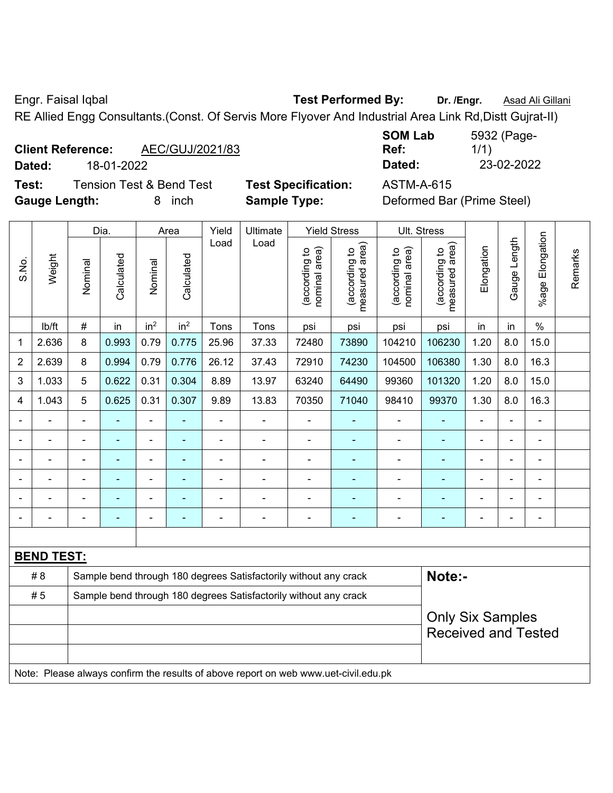Engr. Faisal Iqbal **Test Performed By: Dr. /Engr.** Asad Ali Gillani RE Allied Engg Consultants.(Const. Of Servis More Flyover And Industrial Area Link Rd,Distt Gujrat-II)

| <b>Client Reference:</b> | AEC/GUJ/2021/83 |
|--------------------------|-----------------|
|--------------------------|-----------------|

**Test:** Tension Test & Bend Test **Test Specification:** ASTM-A-615 **Gauge Length:** 8 inch **Sample Type:** Deformed Bar (Prime Steel)

**SOM Lab Ref:**  5932 (Page-1/1) **Dated:** 18-01-2022 **Dated:** 23-02-2022

|                | Weight            |                                                                  | Dia.<br>Area |                 | Yield           | Ultimate       | <b>Yield Stress</b>                                                                 |                                | Ult. Stress                     |                                |                                 |                |                |                 |         |
|----------------|-------------------|------------------------------------------------------------------|--------------|-----------------|-----------------|----------------|-------------------------------------------------------------------------------------|--------------------------------|---------------------------------|--------------------------------|---------------------------------|----------------|----------------|-----------------|---------|
| S.No.          |                   | Nominal                                                          | Calculated   | Nominal         | Calculated      | Load           | Load                                                                                | nominal area)<br>(according to | (according to<br>measured area) | (according to<br>nominal area) | measured area)<br>(according to | Elongation     | Gauge Length   | %age Elongation | Remarks |
|                | Ib/ft             | $\#$                                                             | in           | in <sup>2</sup> | in <sup>2</sup> | Tons           | Tons                                                                                | psi                            | psi                             | psi                            | psi                             | in             | in             | $\frac{0}{0}$   |         |
| $\mathbf 1$    | 2.636             | 8                                                                | 0.993        | 0.79            | 0.775           | 25.96          | 37.33                                                                               | 72480                          | 73890                           | 104210                         | 106230                          | 1.20           | 8.0            | 15.0            |         |
| $\overline{2}$ | 2.639             | 8                                                                | 0.994        | 0.79            | 0.776           | 26.12          | 37.43                                                                               | 72910                          | 74230                           | 104500                         | 106380                          | 1.30           | 8.0            | 16.3            |         |
| 3              | 1.033             | 5                                                                | 0.622        | 0.31            | 0.304           | 8.89           | 13.97                                                                               | 63240                          | 64490                           | 99360                          | 101320                          | 1.20           | 8.0            | 15.0            |         |
| 4              | 1.043             | 5                                                                | 0.625        | 0.31            | 0.307           | 9.89           | 13.83                                                                               | 70350                          | 71040                           | 98410                          | 99370                           | 1.30           | 8.0            | 16.3            |         |
|                |                   | $\blacksquare$                                                   |              | ä,              | $\blacksquare$  | ä,             | ä,                                                                                  | ÷,                             | ÷,                              | ÷,                             | ÷                               |                | Ĭ.             | ä,              |         |
|                |                   | $\blacksquare$                                                   | ۰            | ä,              | $\blacksquare$  | ä,             | $\blacksquare$                                                                      | $\blacksquare$                 | $\blacksquare$                  | $\blacksquare$                 | $\blacksquare$                  |                |                | $\blacksquare$  |         |
|                |                   |                                                                  |              | $\blacksquare$  |                 | $\blacksquare$ |                                                                                     | ۰                              | ä,                              | $\blacksquare$                 | $\blacksquare$                  |                |                | $\blacksquare$  |         |
|                |                   | $\blacksquare$                                                   |              | $\blacksquare$  | $\blacksquare$  | $\blacksquare$ | $\overline{\phantom{a}}$                                                            | ÷                              | ÷,                              | $\blacksquare$                 |                                 |                |                | $\blacksquare$  |         |
|                |                   |                                                                  |              | ÷               | $\blacksquare$  | $\blacksquare$ |                                                                                     | ÷                              | ۰                               | $\blacksquare$                 |                                 |                |                | $\blacksquare$  |         |
|                |                   | $\blacksquare$                                                   |              | ÷               | $\blacksquare$  | $\blacksquare$ | $\overline{a}$                                                                      | ÷                              | ۰                               | $\blacksquare$                 | $\blacksquare$                  | $\blacksquare$ | $\overline{a}$ | $\overline{a}$  |         |
|                |                   |                                                                  |              |                 |                 |                |                                                                                     |                                |                                 |                                |                                 |                |                |                 |         |
|                | <b>BEND TEST:</b> |                                                                  |              |                 |                 |                |                                                                                     |                                |                                 |                                |                                 |                |                |                 |         |
|                | # 8               |                                                                  |              |                 |                 |                | Sample bend through 180 degrees Satisfactorily without any crack                    |                                |                                 |                                | Note:-                          |                |                |                 |         |
|                | #5                | Sample bend through 180 degrees Satisfactorily without any crack |              |                 |                 |                |                                                                                     |                                |                                 |                                |                                 |                |                |                 |         |
|                |                   |                                                                  |              |                 |                 |                |                                                                                     |                                |                                 |                                | <b>Only Six Samples</b>         |                |                |                 |         |
|                |                   |                                                                  |              |                 |                 |                |                                                                                     |                                |                                 |                                | <b>Received and Tested</b>      |                |                |                 |         |
|                |                   |                                                                  |              |                 |                 |                |                                                                                     |                                |                                 |                                |                                 |                |                |                 |         |
|                |                   |                                                                  |              |                 |                 |                | Note: Please always confirm the results of above report on web www.uet-civil.edu.pk |                                |                                 |                                |                                 |                |                |                 |         |